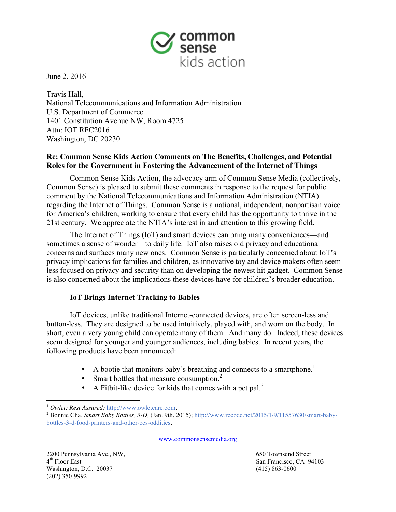

June 2, 2016

Travis Hall, National Telecommunications and Information Administration U.S. Department of Commerce 1401 Constitution Avenue NW, Room 4725 Attn: IOT RFC2016 Washington, DC 20230

# **Re: Common Sense Kids Action Comments on The Benefits, Challenges, and Potential Roles for the Government in Fostering the Advancement of the Internet of Things**

Common Sense Kids Action, the advocacy arm of Common Sense Media (collectively, Common Sense) is pleased to submit these comments in response to the request for public comment by the National Telecommunications and Information Administration (NTIA) regarding the Internet of Things. Common Sense is a national, independent, nonpartisan voice for America's children, working to ensure that every child has the opportunity to thrive in the 21st century. We appreciate the NTIA's interest in and attention to this growing field.

The Internet of Things (IoT) and smart devices can bring many conveniences—and sometimes a sense of wonder—to daily life. IoT also raises old privacy and educational concerns and surfaces many new ones. Common Sense is particularly concerned about IoT's privacy implications for families and children, as innovative toy and device makers often seem less focused on privacy and security than on developing the newest hit gadget. Common Sense is also concerned about the implications these devices have for children's broader education.

## **IoT Brings Internet Tracking to Babies**

IoT devices, unlike traditional Internet-connected devices, are often screen-less and button-less. They are designed to be used intuitively, played with, and worn on the body. In short, even a very young child can operate many of them. And many do. Indeed, these devices seem designed for younger and younger audiences, including babies. In recent years, the following products have been announced:

- A bootie that monitors baby's breathing and connects to a smartphone.<sup>1</sup>
- Smart bottles that measure consumption. $<sup>2</sup>$ </sup>
- A Fitbit-like device for kids that comes with a pet pal.<sup>3</sup>

www.commonsensemedia.org

2200 Pennsylvania Ave., NW, 650 Townsend Street 4th Floor East San Francisco, CA 94103 Washington, D.C. 20037 (415) 863-0600 (202) 350-9992

 $\overline{a}$ <sup>1</sup> *Owlet: Rest Assured;* http://www.owletcare.com.

<sup>2</sup> Bonnie Cha, *Smart Baby Bottles, 3-D,* (Jan. 9th, 2015); http://www.recode.net/2015/1/9/11557630/smart-babybottles-3-d-food-printers-and-other-ces-oddities.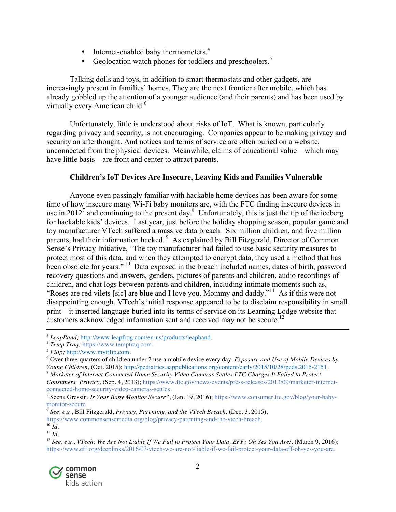- Internet-enabled baby thermometers.<sup>4</sup>
- Geolocation watch phones for toddlers and preschoolers.<sup>5</sup>

Talking dolls and toys, in addition to smart thermostats and other gadgets, are increasingly present in families' homes. They are the next frontier after mobile, which has already gobbled up the attention of a younger audience (and their parents) and has been used by virtually every American child.<sup>6</sup>

Unfortunately, little is understood about risks of IoT. What is known, particularly regarding privacy and security, is not encouraging. Companies appear to be making privacy and security an afterthought. And notices and terms of service are often buried on a website, unconnected from the physical devices. Meanwhile, claims of educational value—which may have little basis—are front and center to attract parents.

## **Children's IoT Devices Are Insecure, Leaving Kids and Families Vulnerable**

Anyone even passingly familiar with hackable home devices has been aware for some time of how insecure many Wi-Fi baby monitors are, with the FTC finding insecure devices in use in 2012<sup>7</sup> and continuing to the present day.<sup>8</sup> Unfortunately, this is just the tip of the iceberg for hackable kids' devices. Last year, just before the holiday shopping season, popular game and toy manufacturer VTech suffered a massive data breach. Six million children, and five million parents, had their information hacked.<sup>9</sup> As explained by Bill Fitzgerald, Director of Common Sense's Privacy Initiative, "The toy manufacturer had failed to use basic security measures to protect most of this data, and when they attempted to encrypt data, they used a method that has been obsolete for years."<sup>10</sup> Data exposed in the breach included names, dates of birth, password recovery questions and answers, genders, pictures of parents and children, audio recordings of children, and chat logs between parents and children, including intimate moments such as, "Roses are red vilets [sic] are blue and I love you. Mommy and daddy."<sup>11</sup> As if this were not disappointing enough, VTech's initial response appeared to be to disclaim responsibility in small print—it inserted language buried into its terms of service on its Learning Lodge website that customers acknowledged information sent and received may not be secure.<sup>12</sup>

<sup>&</sup>lt;sup>12</sup> See, e.g., VTech: We Are Not Liable If We Fail to Protect Your Data, EFF: Oh Yes You Are!, (March 9, 2016); https://www.eff.org/deeplinks/2016/03/vtech-we-are-not-liable-if-we-fail-protect-your-data-eff-oh-yes-you-are.



<sup>&</sup>lt;sup>3</sup> *LeapBand*; http://www.leapfrog.com/en-us/products/leapband.

<sup>4</sup> *Temp Traq;* https://www.temptraq.com.

<sup>5</sup> *Filip;* http://www.myfilip.com.

<sup>6</sup> Over three-quarters of children under 2 use a mobile device every day. *Exposure and Use of Mobile Devices by Young Children,* (Oct. 2015); http://pediatrics.aappublications.org/content/early/2015/10/28/peds.2015-2151.

<sup>7</sup> *Marketer of Internet-Connected Home Security Video Cameras Settles FTC Charges It Failed to Protect*

*Consumers' Privacy,* (Sep. 4, 2013); https://www.ftc.gov/news-events/press-releases/2013/09/marketer-internetconnected-home-security-video-cameras-settles.

<sup>8</sup> Seena Gressin, *Is Your Baby Monitor Secure?*, (Jan. 19, 2016); https://www.consumer.ftc.gov/blog/your-babymonitor-secure.

<sup>9</sup> *See, e.g.*, Bill Fitzgerald, *Privacy, Parenting, and the VTech Breach,* (Dec. 3, 2015),

https://www.commonsensemedia.org/blog/privacy-parenting-and-the-vtech-breach.  $^{10}$   $\tilde{I}$ *d*.

 $11 \, Id.$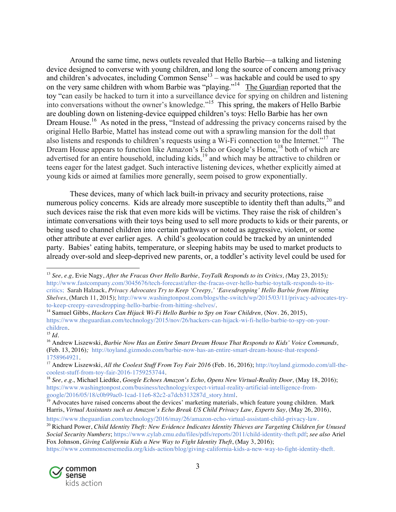Around the same time, news outlets revealed that Hello Barbie—a talking and listening device designed to converse with young children, and long the source of concern among privacy and children's advocates, including Common Sense<sup>13</sup> – was hackable and could be used to spy on the very same children with whom Barbie was "playing."<sup>14</sup> The Guardian reported that the toy "can easily be hacked to turn it into a surveillance device for spying on children and listening into conversations without the owner's knowledge."15 This spring, the makers of Hello Barbie are doubling down on listening-device equipped children's toys: Hello Barbie has her own Dream House.<sup>16</sup> As noted in the press, "Instead of addressing the privacy concerns raised by the original Hello Barbie, Mattel has instead come out with a sprawling mansion for the doll that also listens and responds to children's requests using a Wi-Fi connection to the Internet."<sup>17</sup> The Dream House appears to function like Amazon's Echo or Google's Home,<sup>18</sup> both of which are advertised for an entire household, including kids,<sup>19</sup> and which may be attractive to children or teens eager for the latest gadget. Such interactive listening devices, whether explicitly aimed at young kids or aimed at families more generally, seem poised to grow exponentially.

These devices, many of which lack built-in privacy and security protections, raise numerous policy concerns. Kids are already more susceptible to identity theft than adults,<sup>20</sup> and such devices raise the risk that even more kids will be victims. They raise the risk of children's intimate conversations with their toys being used to sell more products to kids or their parents, or being used to channel children into certain pathways or noted as aggressive, violent, or some other attribute at ever earlier ages. A child's geolocation could be tracked by an unintended party. Babies' eating habits, temperature, or sleeping habits may be used to market products to already over-sold and sleep-deprived new parents, or, a toddler's activity level could be used for

https://www.commonsensemedia.org/kids-action/blog/giving-california-kids-a-new-way-to-fight-identity-theft.



<sup>13</sup> *See, e.g,* Evie Nagy, *After the Fracas Over Hello Barbie, ToyTalk Responds to its Critics, (*May 23, 2015)*;* http://www.fastcompany.com/3045676/tech-forecast/after-the-fracas-over-hello-barbie-toytalk-responds-to-itscritics; Sarah Halzack, *Privacy Advocates Try to Keep 'Creepy,' 'Eavesdropping' Hello Barbie from Hitting Shelves*, (March 11, 2015); http://www.washingtonpost.com/blogs/the-switch/wp/2015/03/11/privacy-advocates-tryto-keep-creepy-eavesdropping-hello-barbie-from-hitting-shelves/.

<sup>14</sup> Samuel Gibbs, *Hackers Can Hijack Wi-Fi Hello Barbie to Spy on Your Children,* (Nov. 26, 2015), https://www.theguardian.com/technology/2015/nov/26/hackers-can-hijack-wi-fi-hello-barbie-to-spy-on-yourchildren.

<sup>15</sup> *Id.*

<sup>16</sup> Andrew Liszewski, *Barbie Now Has an Entire Smart Dream House That Responds to Kids' Voice Commands,* (Feb. 13, 2016)*;* http://toyland.gizmodo.com/barbie-now-has-an-entire-smart-dream-house-that-respond-1758964921.

<sup>17</sup> Andrew Liszewski, *All the Coolest Stuff From Toy Fair 2016* (Feb. 16, 2016); http://toyland.gizmodo.com/all-thecoolest-stuff-from-toy-fair-2016-1759253744.

<sup>18</sup> *See, e.g.,* Michael Liedtke, *Google Echoes Amazon's Echo, Opens New Virtual-Reality Door,* (May 18, 2016); https://www.washingtonpost.com/business/technology/expect-virtual-reality-artificial-intelligence-fromgoogle/2016/05/18/c0b99ac0-1cad-11e6-82c2-a7dcb313287d\_story.html.

 $19$  Advocates have raised concerns about the devices' marketing materials, which feature young children. Mark Harris, *Virtual Assistants such as Amazon's Echo Break US Child Privacy Law, Experts Say,* (May 26, 2016),

https://www.theguardian.com/technology/2016/may/26/amazon-echo-virtual-assistant-child-privacy-law. <sup>20</sup> Richard Power, *Child Identity Theft: New Evidence Indicates Identity Thieves are Targeting Children for Unused Social Security Numbers*; https://www.cylab.cmu.edu/files/pdfs/reports/2011/child-identity-theft.pdf; *see also* Ariel Fox Johnson, *Giving California Kids a New Way to Fight Identity Theft*, (May 3, 2016);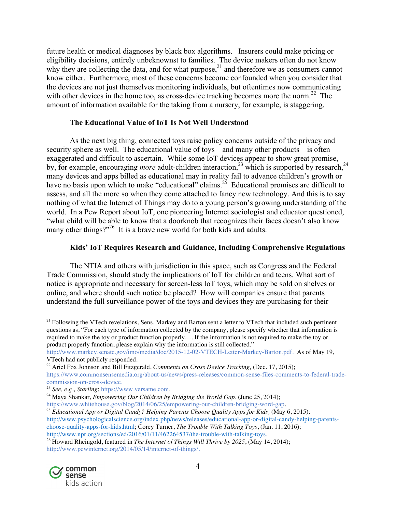future health or medical diagnoses by black box algorithms. Insurers could make pricing or eligibility decisions, entirely unbeknownst to families. The device makers often do not know why they are collecting the data, and for what purpose, $2<sup>1</sup>$  and therefore we as consumers cannot know either. Furthermore, most of these concerns become confounded when you consider that the devices are not just themselves monitoring individuals, but oftentimes now communicating with other devices in the home too, as cross-device tracking becomes more the norm.<sup>22</sup> The amount of information available for the taking from a nursery, for example, is staggering.

#### **The Educational Value of IoT Is Not Well Understood**

As the next big thing, connected toys raise policy concerns outside of the privacy and security sphere as well. The educational value of toys—and many other products—is often exaggerated and difficult to ascertain. While some IoT devices appear to show great promise, by, for example, encouraging *more* adult-children interaction,<sup>23</sup> which is supported by research,<sup>24</sup> many devices and apps billed as educational may in reality fail to advance children's growth or have no basis upon which to make "educational" claims.<sup>25</sup> Educational promises are difficult to assess, and all the more so when they come attached to fancy new technology. And this is to say nothing of what the Internet of Things may do to a young person's growing understanding of the world. In a Pew Report about IoT, one pioneering Internet sociologist and educator questioned, "what child will be able to know that a doorknob that recognizes their faces doesn't also know many other things?"<sup>26</sup> It is a brave new world for both kids and adults.

## **Kids' IoT Requires Research and Guidance, Including Comprehensive Regulations**

The NTIA and others with jurisdiction in this space, such as Congress and the Federal Trade Commission, should study the implications of IoT for children and teens. What sort of notice is appropriate and necessary for screen-less IoT toys, which may be sold on shelves or online, and where should such notice be placed? How will companies ensure that parents understand the full surveillance power of the toys and devices they are purchasing for their

<sup>26</sup> Howard Rheingold, featured in *The Internet of Things Will Thrive by 2025*, (May 14, 2014); http://www.pewinternet.org/2014/05/14/internet-of-things/.



 $21$  Following the VTech revelations, Sens. Markey and Barton sent a letter to VTech that included such pertinent questions as, "For each type of information collected by the company, please specify whether that information is required to make the toy or product function properly…. If the information is not required to make the toy or product properly function, please explain why the information is still collected."

http://www.markey.senate.gov/imo/media/doc/2015-12-02-VTECH-Letter-Markey-Barton.pdf. As of May 19, VTech had not publicly responded.

<sup>22</sup> Ariel Fox Johnson and Bill Fitzgerald, *Comments on Cross Device Tracking,* (Dec. 17, 2015);

https://www.commonsensemedia.org/about-us/news/press-releases/common-sense-files-comments-to-federal-tradecommission-on-cross-device.

<sup>23</sup> *See, e.g., Starling*; https://www.versame.com.

<sup>24</sup> Maya Shankar, *Empowering Our Children by Bridging the World Gap*, (June 25, 2014);

https://www.whitehouse.gov/blog/2014/06/25/empowering-our-children-bridging-word-gap.

<sup>25</sup> *Educational App or Digital Candy? Helping Parents Choose Quality Apps for Kids,* (May 6, 2015)*;* http://www.psychologicalscience.org/index.php/news/releases/educational-app-or-digital-candy-helping-parentschoose-quality-apps-for-kids.html; Corey Turner, *The Trouble With Talking Toys*, (Jan. 11, 2016); http://www.npr.org/sections/ed/2016/01/11/462264537/the-trouble-with-talking-toys.